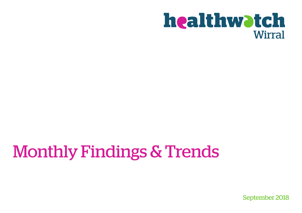# **healthwatch Wirral**

# Monthly Findings & Trends

September 2018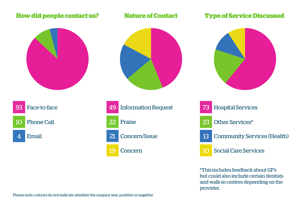#### **How did people contact us? Nature of Contact**



#### **Type of Service Discussed**









\*This includes feedback about GP's but could also include certain dentists and walk-in centres depending on the provider.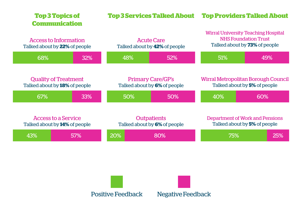| <b>Top 3 Topics of</b><br><b>Communication</b> |                                                                     | <b>Top 3 Services Talked About</b> |                                                           | <b>Top Providers Talked About</b>                  |                                                                                                                   |                                                                        |  |
|------------------------------------------------|---------------------------------------------------------------------|------------------------------------|-----------------------------------------------------------|----------------------------------------------------|-------------------------------------------------------------------------------------------------------------------|------------------------------------------------------------------------|--|
|                                                | Access to Information<br>Talked about by <b>22%</b> of people       |                                    | <b>Acute Care</b><br>Talked about by <b>42%</b> of people |                                                    | <b>Wirral University Teaching Hospital</b><br><b>NHS Foundation Trust</b><br>Talked about by <b>73%</b> of people |                                                                        |  |
|                                                | 68%                                                                 | 32%                                | 48%                                                       | 52%                                                | 51%                                                                                                               | 49%                                                                    |  |
|                                                | <b>Quality of Treatment</b><br>Talked about by <b>18%</b> of people |                                    | <b>Primary Care/GP's</b><br>Talked about by 6% of people  |                                                    | Wirral Metropolitan Borough Council<br>Talked about by 5% of people                                               |                                                                        |  |
|                                                | 67%                                                                 | 33%                                | 50%                                                       | 50%                                                | 40%                                                                                                               | 60%                                                                    |  |
|                                                | Access to a Service<br>Talked about by 14% of people                |                                    |                                                           | <b>Outpatients</b><br>Talked about by 6% of people |                                                                                                                   | Department of Work and Pensions<br>Talked about by <b>5%</b> of people |  |
|                                                | 43%                                                                 | 57%                                | <b>20%</b>                                                | 80%                                                | 75%                                                                                                               | 25%                                                                    |  |



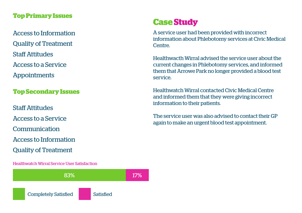#### **Top Primary Issues**

Access to a Service Quality of Treatment Staff Attitudes Appointments

#### **Top Secondary Issues**

Staff Attitudes Access to a Service Access to Information Quality of Treatment Communication

Healthwatch Wirral Service User Satisfaction



# **Case Study**

Access to Information A service user had been provided with incorrect information about Phlebotomy services at Civic Medical Centre.

> Healthwacth Wirral advised the service user about the current changes in Phlebotomy services, and informed them that Arrowe Park no longer provided a blood test service.

Healthwatch Wirral contacted Civic Medical Centre and informed them that they were giving incorrect information to their patients.

The service user was also advised to contact their GP again to make an urgent blood test appointment.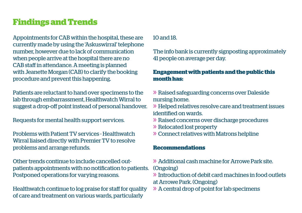# **Findings and Trends**

Appointments for CAB within the hospital, these are currently made by using the 'Askuswirral' telephone number, however due to lack of communication when people arrive at the hospital there are no CAB staff in attendance. A meeting is planned with Jeanette Morgan (CAB) to clarify the booking procedure and prevent this happening.

Patients are reluctant to hand over specimens to the lab through embarrassment, Healthwatch Wirral to suggest a drop-off point instead of personal handover.

Requests for mental health support services.

Problems with Patient TV services - Healthwatch Wirral liaised directly with Premier TV to resolve problems and arrange refunds.

Other trends continue to include cancelled outpatients appointments with no notification to patients. Postponed operations for varying reasons.

Healthwatch continue to log praise for staff for quality of care and treatment on various wards, particularly

#### 10 and 18.

The info bank is currently signposting approximately 41 people on average per day.

#### **Engagement with patients and the public this month has:**

- » Raised safeguarding concerns over Daleside nursing home.
- » Helped relatives resolve care and treatment issues identified on wards.
- » Raised concerns over discharge procedures
- » Relocated lost property
- » Connect relatives with Matrons helpline

#### **Recommendations**

- » Additional cash machine for Arrowe Park site. (Ongoing)
- » Introduction of debit card machines in food outlets at Arrowe Park. (Ongoing)
- » A central drop of point for lab specimens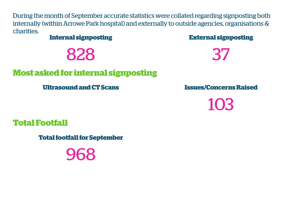During the month of September accurate statistics were collated regarding signposting both internally (within Arrowe Park hospital) and externally to outside agencies, organisations & charities.

**Internal signposting**

828

# **Most asked for internal signposting**

**Ultrasound and CT Scans**

**External signposting**

37

**Issues/Concerns Raised**

103

**Total Footfall**

**Total footfall for September**

968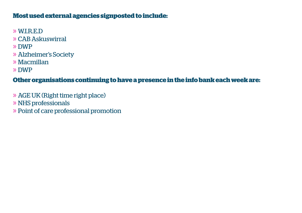### **Most used external agencies signposted to include:**

- » W.I.R.E.D
- » CAB Askuswirral
- » DWP
- » Alzheimer's Society
- » Macmillan
- » DWP

### **Other organisations continuing to have a presence in the info bank each week are:**

- » AGE UK (Right time right place)
- » NHS professionals
- » Point of care professional promotion